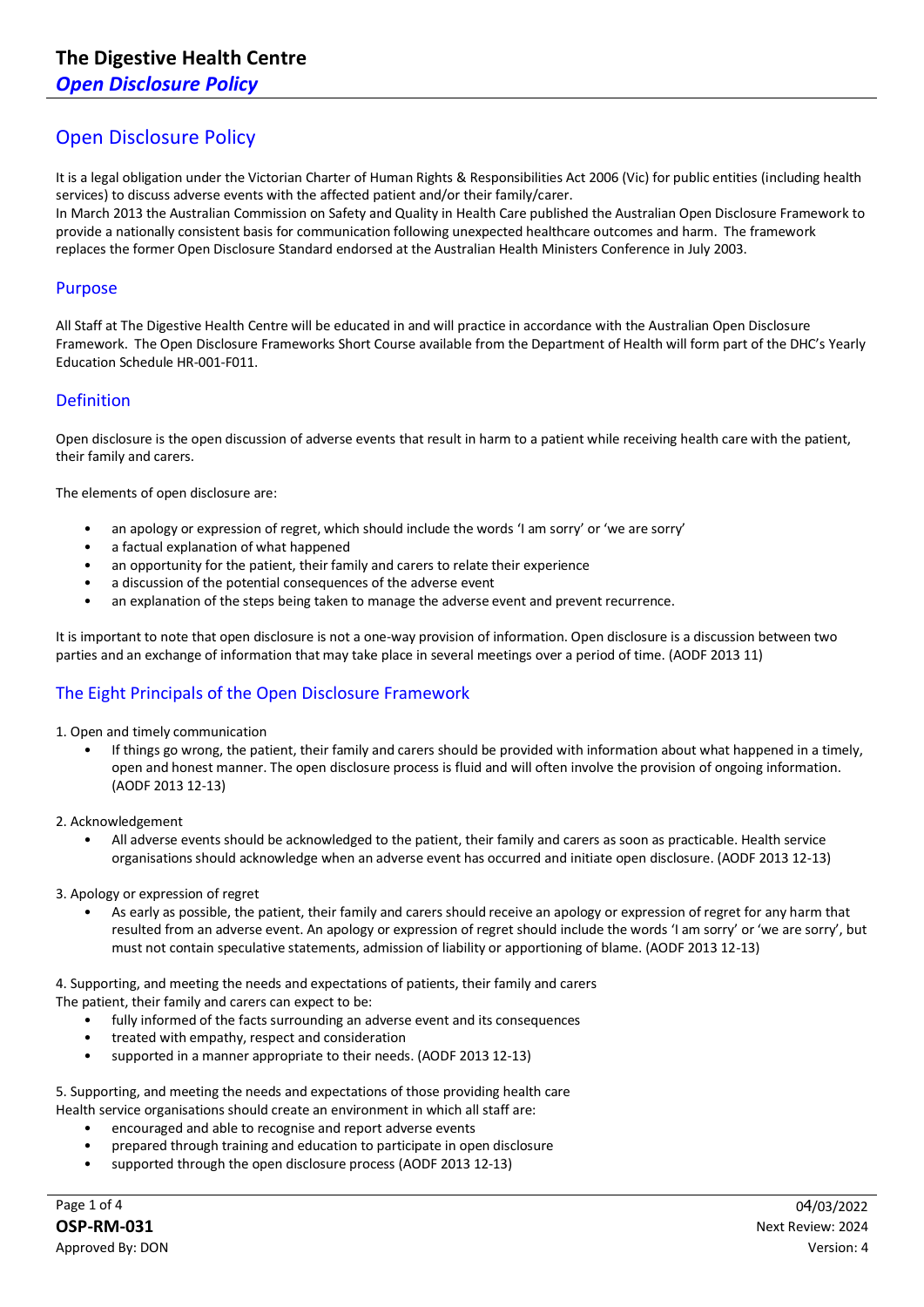# Open Disclosure Policy

It is a legal obligation under the Victorian Charter of Human Rights & Responsibilities Act 2006 (Vic) for public entities (including health services) to discuss adverse events with the affected patient and/or their family/carer.

In March 2013 the Australian Commission on Safety and Quality in Health Care published the Australian Open Disclosure Framework to provide a nationally consistent basis for communication following unexpected healthcare outcomes and harm. The framework replaces the former Open Disclosure Standard endorsed at the Australian Health Ministers Conference in July 2003.

### Purpose

All Staff at The Digestive Health Centre will be educated in and will practice in accordance with the Australian Open Disclosure Framework. The Open Disclosure Frameworks Short Course available from the Department of Health will form part of the DHC's Yearly Education Schedule HR-001-F011.

## Definition

Open disclosure is the open discussion of adverse events that result in harm to a patient while receiving health care with the patient, their family and carers.

The elements of open disclosure are:

- an apology or expression of regret, which should include the words 'I am sorry' or 'we are sorry'
- a factual explanation of what happened
- an opportunity for the patient, their family and carers to relate their experience
- a discussion of the potential consequences of the adverse event
- an explanation of the steps being taken to manage the adverse event and prevent recurrence.

It is important to note that open disclosure is not a one-way provision of information. Open disclosure is a discussion between two parties and an exchange of information that may take place in several meetings over a period of time. (AODF 2013 11)

## The Eight Principals of the Open Disclosure Framework

- 1. Open and timely communication
	- If things go wrong, the patient, their family and carers should be provided with information about what happened in a timely, open and honest manner. The open disclosure process is fluid and will often involve the provision of ongoing information. (AODF 2013 12-13)
- 2. Acknowledgement
	- All adverse events should be acknowledged to the patient, their family and carers as soon as practicable. Health service organisations should acknowledge when an adverse event has occurred and initiate open disclosure. (AODF 2013 12-13)

#### 3. Apology or expression of regret

• As early as possible, the patient, their family and carers should receive an apology or expression of regret for any harm that resulted from an adverse event. An apology or expression of regret should include the words 'I am sorry' or 'we are sorry', but must not contain speculative statements, admission of liability or apportioning of blame. (AODF 2013 12-13)

4. Supporting, and meeting the needs and expectations of patients, their family and carers

The patient, their family and carers can expect to be:

- fully informed of the facts surrounding an adverse event and its consequences
- treated with empathy, respect and consideration
- supported in a manner appropriate to their needs. (AODF 2013 12-13)

5. Supporting, and meeting the needs and expectations of those providing health care Health service organisations should create an environment in which all staff are:

- encouraged and able to recognise and report adverse events
- prepared through training and education to participate in open disclosure
- supported through the open disclosure process (AODF 2013 12-13)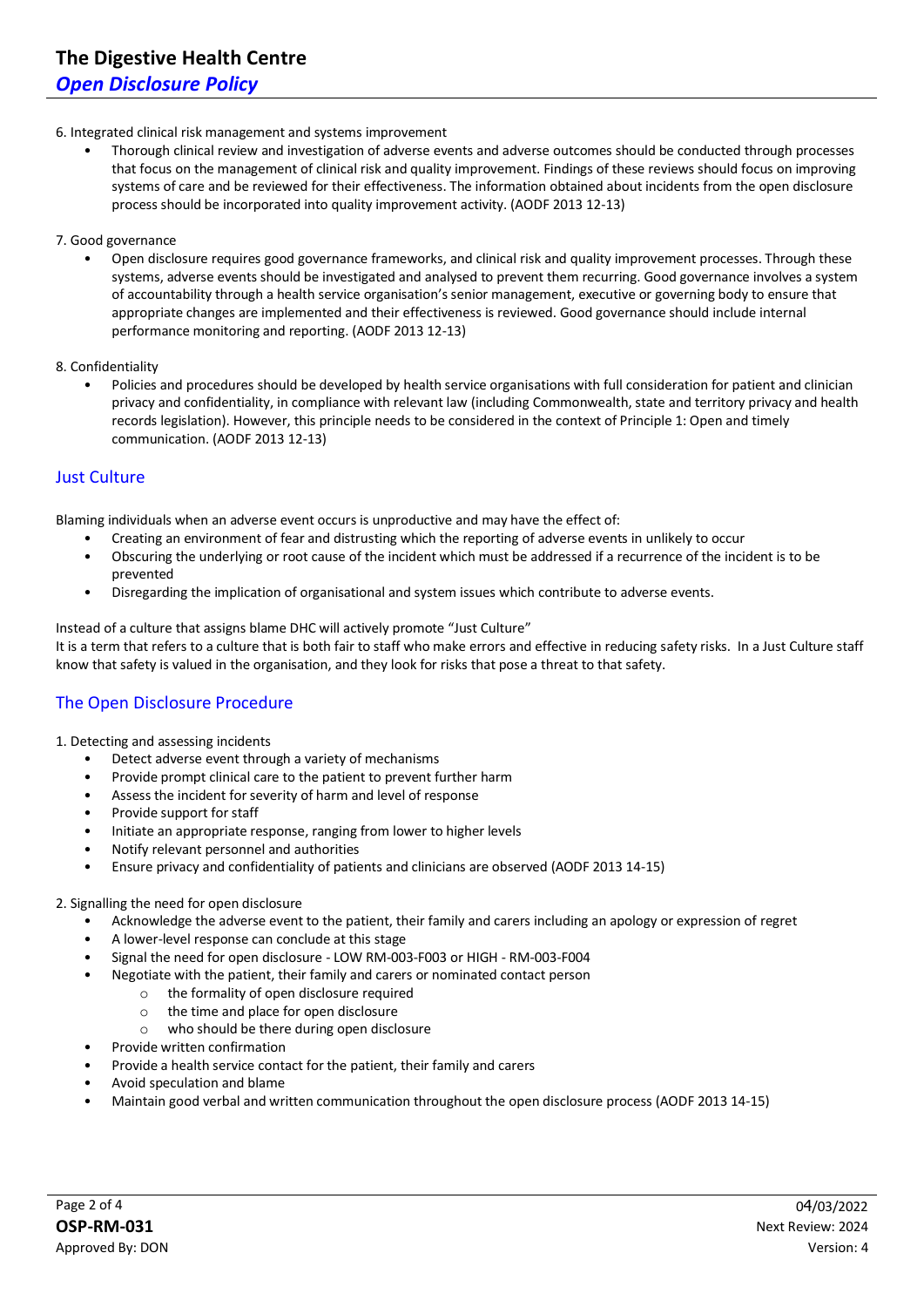### 6. Integrated clinical risk management and systems improvement

• Thorough clinical review and investigation of adverse events and adverse outcomes should be conducted through processes that focus on the management of clinical risk and quality improvement. Findings of these reviews should focus on improving systems of care and be reviewed for their effectiveness. The information obtained about incidents from the open disclosure process should be incorporated into quality improvement activity. (AODF 2013 12-13)

### 7. Good governance

• Open disclosure requires good governance frameworks, and clinical risk and quality improvement processes. Through these systems, adverse events should be investigated and analysed to prevent them recurring. Good governance involves a system of accountability through a health service organisation's senior management, executive or governing body to ensure that appropriate changes are implemented and their effectiveness is reviewed. Good governance should include internal performance monitoring and reporting. (AODF 2013 12-13)

### 8. Confidentiality

• Policies and procedures should be developed by health service organisations with full consideration for patient and clinician privacy and confidentiality, in compliance with relevant law (including Commonwealth, state and territory privacy and health records legislation). However, this principle needs to be considered in the context of Principle 1: Open and timely communication. (AODF 2013 12-13)

## Just Culture

Blaming individuals when an adverse event occurs is unproductive and may have the effect of:

- Creating an environment of fear and distrusting which the reporting of adverse events in unlikely to occur
- Obscuring the underlying or root cause of the incident which must be addressed if a recurrence of the incident is to be prevented
- Disregarding the implication of organisational and system issues which contribute to adverse events.

Instead of a culture that assigns blame DHC will actively promote "Just Culture" It is a term that refers to a culture that is both fair to staff who make errors and effective in reducing safety risks. In a Just Culture staff know that safety is valued in the organisation, and they look for risks that pose a threat to that safety.

## The Open Disclosure Procedure

### 1. Detecting and assessing incidents

- Detect adverse event through a variety of mechanisms
- Provide prompt clinical care to the patient to prevent further harm
- Assess the incident for severity of harm and level of response
- Provide support for staff
- Initiate an appropriate response, ranging from lower to higher levels
- Notify relevant personnel and authorities
- Ensure privacy and confidentiality of patients and clinicians are observed (AODF 2013 14-15)

### 2. Signalling the need for open disclosure

- Acknowledge the adverse event to the patient, their family and carers including an apology or expression of regret
- A lower-level response can conclude at this stage
- Signal the need for open disclosure LOW RM-003-F003 or HIGH RM-003-F004
	- Negotiate with the patient, their family and carers or nominated contact person
		- o the formality of open disclosure required
		- o the time and place for open disclosure
		- o who should be there during open disclosure
- Provide written confirmation
- Provide a health service contact for the patient, their family and carers
- Avoid speculation and blame
- Maintain good verbal and written communication throughout the open disclosure process (AODF 2013 14-15)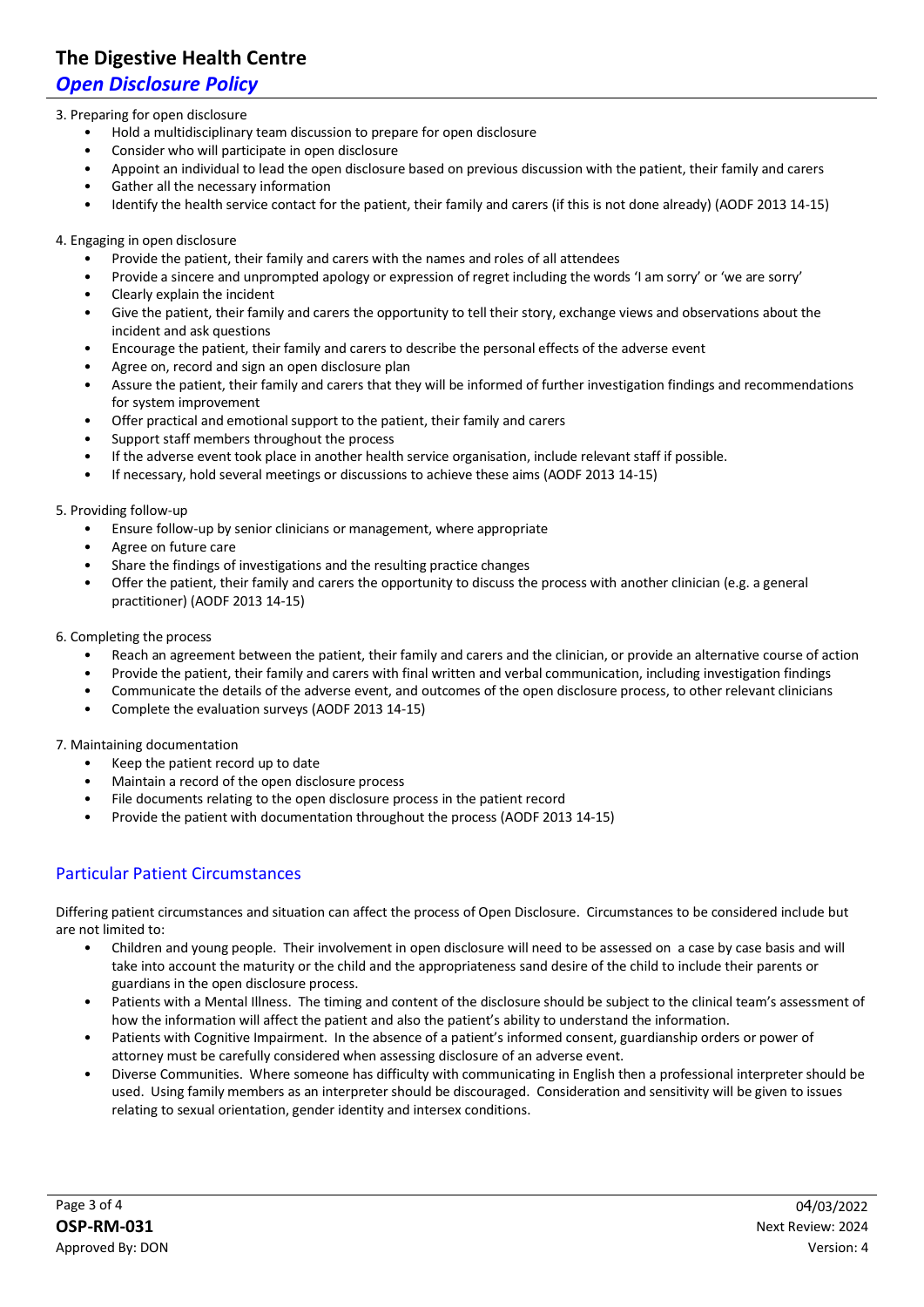# **The Digestive Health Centre**

# *Open Disclosure Policy*

### 3. Preparing for open disclosure

- Hold a multidisciplinary team discussion to prepare for open disclosure
- Consider who will participate in open disclosure
- Appoint an individual to lead the open disclosure based on previous discussion with the patient, their family and carers
- Gather all the necessary information
- Identify the health service contact for the patient, their family and carers (if this is not done already) (AODF 2013 14-15)

### 4. Engaging in open disclosure

- Provide the patient, their family and carers with the names and roles of all attendees
- Provide a sincere and unprompted apology or expression of regret including the words 'I am sorry' or 'we are sorry'
- Clearly explain the incident
- Give the patient, their family and carers the opportunity to tell their story, exchange views and observations about the incident and ask questions
- Encourage the patient, their family and carers to describe the personal effects of the adverse event
- Agree on, record and sign an open disclosure plan
- Assure the patient, their family and carers that they will be informed of further investigation findings and recommendations for system improvement
- Offer practical and emotional support to the patient, their family and carers
- Support staff members throughout the process
- If the adverse event took place in another health service organisation, include relevant staff if possible.
- If necessary, hold several meetings or discussions to achieve these aims (AODF 2013 14-15)

### 5. Providing follow-up

- Ensure follow-up by senior clinicians or management, where appropriate
- Agree on future care
- Share the findings of investigations and the resulting practice changes
- Offer the patient, their family and carers the opportunity to discuss the process with another clinician (e.g. a general practitioner) (AODF 2013 14-15)

### 6. Completing the process

- Reach an agreement between the patient, their family and carers and the clinician, or provide an alternative course of action
- Provide the patient, their family and carers with final written and verbal communication, including investigation findings
- Communicate the details of the adverse event, and outcomes of the open disclosure process, to other relevant clinicians
- Complete the evaluation surveys (AODF 2013 14-15)

### 7. Maintaining documentation

- Keep the patient record up to date
- Maintain a record of the open disclosure process
- File documents relating to the open disclosure process in the patient record
- Provide the patient with documentation throughout the process (AODF 2013 14-15)

## Particular Patient Circumstances

Differing patient circumstances and situation can affect the process of Open Disclosure. Circumstances to be considered include but are not limited to:

- Children and young people. Their involvement in open disclosure will need to be assessed on a case by case basis and will take into account the maturity or the child and the appropriateness sand desire of the child to include their parents or guardians in the open disclosure process.
- Patients with a Mental Illness. The timing and content of the disclosure should be subject to the clinical team's assessment of how the information will affect the patient and also the patient's ability to understand the information.
- Patients with Cognitive Impairment. In the absence of a patient's informed consent, guardianship orders or power of attorney must be carefully considered when assessing disclosure of an adverse event.
- Diverse Communities. Where someone has difficulty with communicating in English then a professional interpreter should be used. Using family members as an interpreter should be discouraged. Consideration and sensitivity will be given to issues relating to sexual orientation, gender identity and intersex conditions.